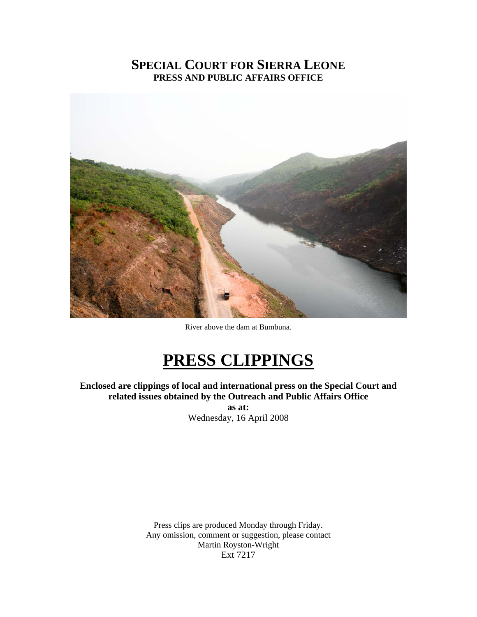## **SPECIAL COURT FOR SIERRA LEONE PRESS AND PUBLIC AFFAIRS OFFICE**



River above the dam at Bumbuna.

# **PRESS CLIPPINGS**

**Enclosed are clippings of local and international press on the Special Court and related issues obtained by the Outreach and Public Affairs Office as at:**  Wednesday, 16 April 2008

> Press clips are produced Monday through Friday. Any omission, comment or suggestion, please contact Martin Royston-Wright Ext 7217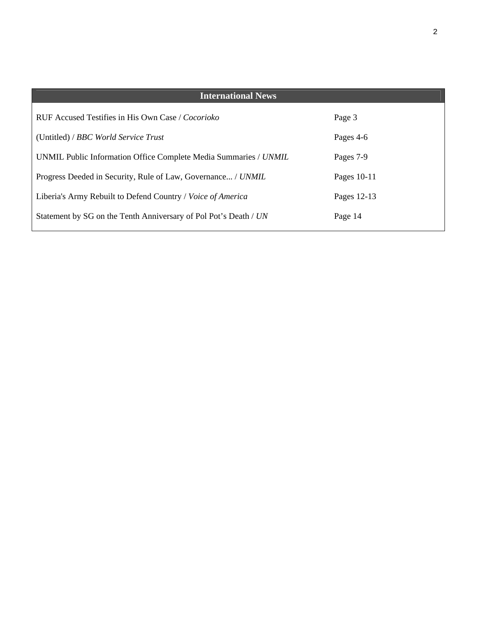| <b>International News</b>                                        |               |
|------------------------------------------------------------------|---------------|
| RUF Accused Testifies in His Own Case / Cocorioko                | Page 3        |
| (Untitled) / BBC World Service Trust                             | Pages 4-6     |
| UNMIL Public Information Office Complete Media Summaries / UNMIL | Pages 7-9     |
| Progress Deeded in Security, Rule of Law, Governance / UNMIL     | Pages $10-11$ |
| Liberia's Army Rebuilt to Defend Country / Voice of America      | Pages 12-13   |
| Statement by SG on the Tenth Anniversary of Pol Pot's Death / UN | Page 14       |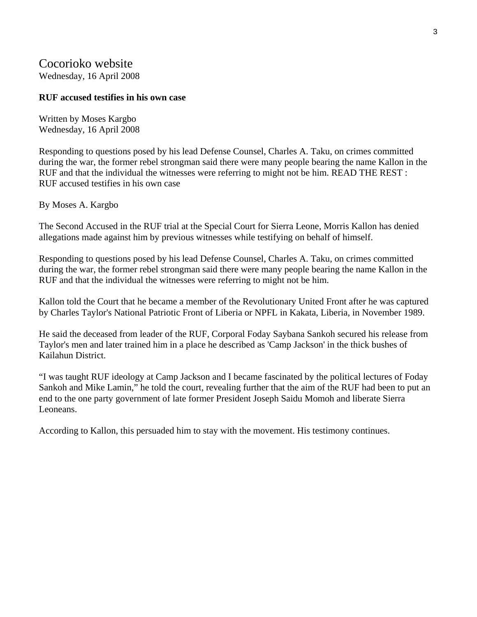## Cocorioko website

Wednesday, 16 April 2008

#### **RUF accused testifies in his own case**

Written by Moses Kargbo Wednesday, 16 April 2008

Responding to questions posed by his lead Defense Counsel, Charles A. Taku, on crimes committed during the war, the former rebel strongman said there were many people bearing the name Kallon in the RUF and that the individual the witnesses were referring to might not be him. READ THE REST : RUF accused testifies in his own case

By Moses A. Kargbo

The Second Accused in the RUF trial at the Special Court for Sierra Leone, Morris Kallon has denied allegations made against him by previous witnesses while testifying on behalf of himself.

Responding to questions posed by his lead Defense Counsel, Charles A. Taku, on crimes committed during the war, the former rebel strongman said there were many people bearing the name Kallon in the RUF and that the individual the witnesses were referring to might not be him.

Kallon told the Court that he became a member of the Revolutionary United Front after he was captured by Charles Taylor's National Patriotic Front of Liberia or NPFL in Kakata, Liberia, in November 1989.

He said the deceased from leader of the RUF, Corporal Foday Saybana Sankoh secured his release from Taylor's men and later trained him in a place he described as 'Camp Jackson' in the thick bushes of Kailahun District.

"I was taught RUF ideology at Camp Jackson and I became fascinated by the political lectures of Foday Sankoh and Mike Lamin," he told the court, revealing further that the aim of the RUF had been to put an end to the one party government of late former President Joseph Saidu Momoh and liberate Sierra Leoneans.

According to Kallon, this persuaded him to stay with the movement. His testimony continues.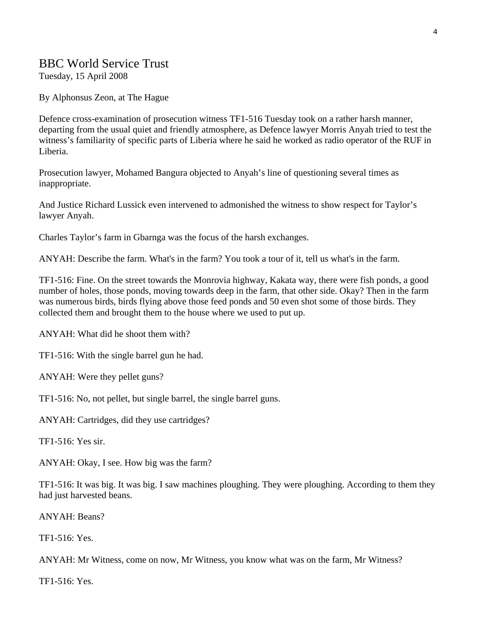## BBC World Service Trust

Tuesday, 15 April 2008

By Alphonsus Zeon, at The Hague

Defence cross-examination of prosecution witness TF1-516 Tuesday took on a rather harsh manner, departing from the usual quiet and friendly atmosphere, as Defence lawyer Morris Anyah tried to test the witness's familiarity of specific parts of Liberia where he said he worked as radio operator of the RUF in Liberia.

Prosecution lawyer, Mohamed Bangura objected to Anyah's line of questioning several times as inappropriate.

And Justice Richard Lussick even intervened to admonished the witness to show respect for Taylor's lawyer Anyah.

Charles Taylor's farm in Gbarnga was the focus of the harsh exchanges.

ANYAH: Describe the farm. What's in the farm? You took a tour of it, tell us what's in the farm.

TF1-516: Fine. On the street towards the Monrovia highway, Kakata way, there were fish ponds, a good number of holes, those ponds, moving towards deep in the farm, that other side. Okay? Then in the farm was numerous birds, birds flying above those feed ponds and 50 even shot some of those birds. They collected them and brought them to the house where we used to put up.

ANYAH: What did he shoot them with?

TF1-516: With the single barrel gun he had.

ANYAH: Were they pellet guns?

TF1-516: No, not pellet, but single barrel, the single barrel guns.

ANYAH: Cartridges, did they use cartridges?

TF1-516: Yes sir.

ANYAH: Okay, I see. How big was the farm?

TF1-516: It was big. It was big. I saw machines ploughing. They were ploughing. According to them they had just harvested beans.

ANYAH: Beans?

TF1-516: Yes.

ANYAH: Mr Witness, come on now, Mr Witness, you know what was on the farm, Mr Witness?

TF1-516: Yes.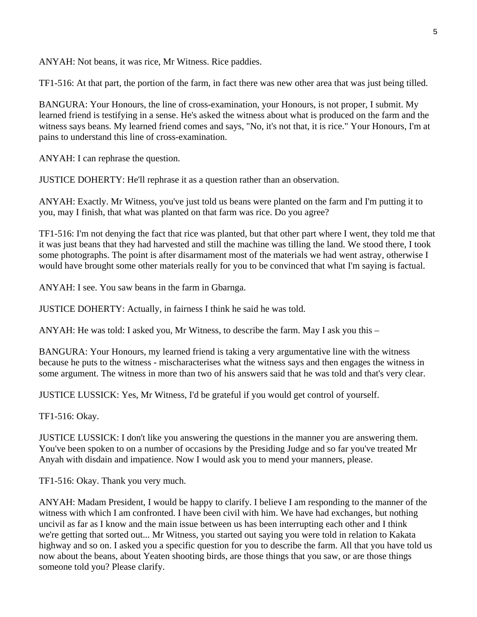ANYAH: Not beans, it was rice, Mr Witness. Rice paddies.

TF1-516: At that part, the portion of the farm, in fact there was new other area that was just being tilled.

BANGURA: Your Honours, the line of cross-examination, your Honours, is not proper, I submit. My learned friend is testifying in a sense. He's asked the witness about what is produced on the farm and the witness says beans. My learned friend comes and says, "No, it's not that, it is rice." Your Honours, I'm at pains to understand this line of cross-examination.

ANYAH: I can rephrase the question.

JUSTICE DOHERTY: He'll rephrase it as a question rather than an observation.

ANYAH: Exactly. Mr Witness, you've just told us beans were planted on the farm and I'm putting it to you, may I finish, that what was planted on that farm was rice. Do you agree?

TF1-516: I'm not denying the fact that rice was planted, but that other part where I went, they told me that it was just beans that they had harvested and still the machine was tilling the land. We stood there, I took some photographs. The point is after disarmament most of the materials we had went astray, otherwise I would have brought some other materials really for you to be convinced that what I'm saying is factual.

ANYAH: I see. You saw beans in the farm in Gbarnga.

JUSTICE DOHERTY: Actually, in fairness I think he said he was told.

ANYAH: He was told: I asked you, Mr Witness, to describe the farm. May I ask you this –

BANGURA: Your Honours, my learned friend is taking a very argumentative line with the witness because he puts to the witness - mischaracterises what the witness says and then engages the witness in some argument. The witness in more than two of his answers said that he was told and that's very clear.

JUSTICE LUSSICK: Yes, Mr Witness, I'd be grateful if you would get control of yourself.

TF1-516: Okay.

JUSTICE LUSSICK: I don't like you answering the questions in the manner you are answering them. You've been spoken to on a number of occasions by the Presiding Judge and so far you've treated Mr Anyah with disdain and impatience. Now I would ask you to mend your manners, please.

TF1-516: Okay. Thank you very much.

ANYAH: Madam President, I would be happy to clarify. I believe I am responding to the manner of the witness with which I am confronted. I have been civil with him. We have had exchanges, but nothing uncivil as far as I know and the main issue between us has been interrupting each other and I think we're getting that sorted out... Mr Witness, you started out saying you were told in relation to Kakata highway and so on. I asked you a specific question for you to describe the farm. All that you have told us now about the beans, about Yeaten shooting birds, are those things that you saw, or are those things someone told you? Please clarify.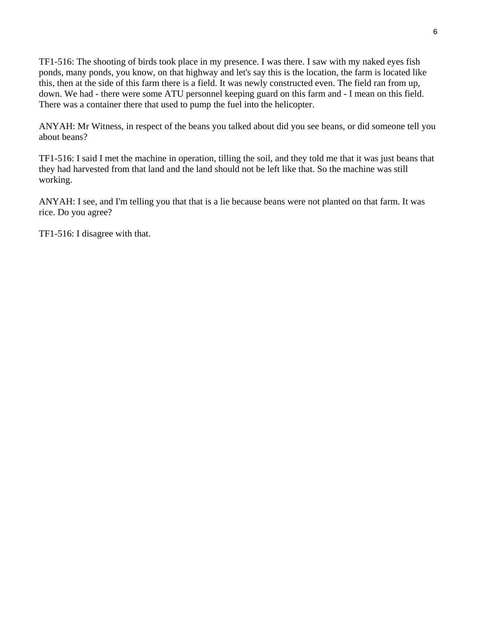TF1-516: The shooting of birds took place in my presence. I was there. I saw with my naked eyes fish ponds, many ponds, you know, on that highway and let's say this is the location, the farm is located like this, then at the side of this farm there is a field. It was newly constructed even. The field ran from up, down. We had - there were some ATU personnel keeping guard on this farm and - I mean on this field. There was a container there that used to pump the fuel into the helicopter.

ANYAH: Mr Witness, in respect of the beans you talked about did you see beans, or did someone tell you about beans?

TF1-516: I said I met the machine in operation, tilling the soil, and they told me that it was just beans that they had harvested from that land and the land should not be left like that. So the machine was still working.

ANYAH: I see, and I'm telling you that that is a lie because beans were not planted on that farm. It was rice. Do you agree?

TF1-516: I disagree with that.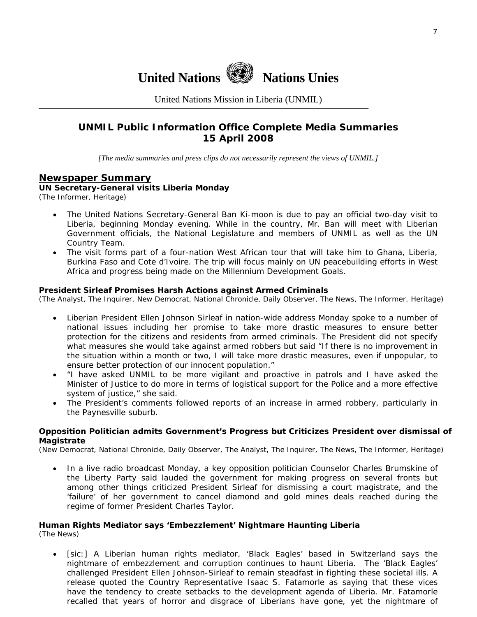

United Nations Mission in Liberia (UNMIL)

### **UNMIL Public Information Office Complete Media Summaries 15 April 2008**

*[The media summaries and press clips do not necessarily represent the views of UNMIL.]* 

#### **Newspaper Summary**

**UN Secretary-General visits Liberia Monday**  (The Informer, Heritage)

- The United Nations Secretary-General Ban Ki-moon is due to pay an official two-day visit to Liberia, beginning Monday evening. While in the country, Mr. Ban will meet with Liberian Government officials, the National Legislature and members of UNMIL as well as the UN Country Team.
- The visit forms part of a four-nation West African tour that will take him to Ghana, Liberia, Burkina Faso and Cote d'Ivoire. The trip will focus mainly on UN peacebuilding efforts in West Africa and progress being made on the Millennium Development Goals.

#### **President Sirleaf Promises Harsh Actions against Armed Criminals**

(The Analyst, The Inquirer, New Democrat, National Chronicle, Daily Observer, The News, The Informer, Heritage)

- Liberian President Ellen Johnson Sirleaf in nation-wide address Monday spoke to a number of national issues including her promise to take more drastic measures to ensure better protection for the citizens and residents from armed criminals. The President did not specify what measures she would take against armed robbers but said "If there is no improvement in the situation within a month or two, I will take more drastic measures, even if unpopular, to ensure better protection of our innocent population."
- "I have asked UNMIL to be more vigilant and proactive in patrols and I have asked the Minister of Justice to do more in terms of logistical support for the Police and a more effective system of justice," she said.
- The President's comments followed reports of an increase in armed robbery, particularly in the Paynesville suburb.

#### **Opposition Politician admits Government's Progress but Criticizes President over dismissal of Magistrate**

(New Democrat, National Chronicle, Daily Observer, The Analyst, The Inquirer, The News, The Informer, Heritage)

• In a live radio broadcast Monday, a key opposition politician Counselor Charles Brumskine of the Liberty Party said lauded the government for making progress on several fronts but among other things criticized President Sirleaf for dismissing a court magistrate, and the 'failure' of her government to cancel diamond and gold mines deals reached during the regime of former President Charles Taylor.

#### **Human Rights Mediator says 'Embezzlement' Nightmare Haunting Liberia**

(The News)

• [sic:] A Liberian human rights mediator, 'Black Eagles' based in Switzerland says the nightmare of embezzlement and corruption continues to haunt Liberia. The 'Black Eagles' challenged President Ellen Johnson-Sirleaf to remain steadfast in fighting these societal ills. A release quoted the Country Representative Isaac S. Fatamorle as saying that these vices have the tendency to create setbacks to the development agenda of Liberia. Mr. Fatamorle recalled that years of horror and disgrace of Liberians have gone, yet the nightmare of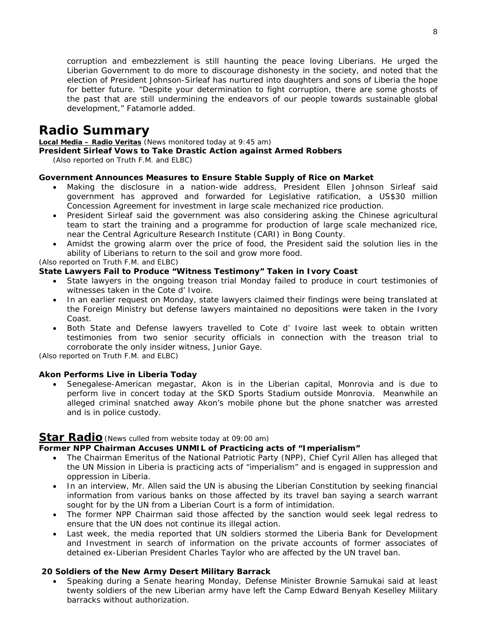corruption and embezzlement is still haunting the peace loving Liberians. He urged the Liberian Government to do more to discourage dishonesty in the society, and noted that the election of President Johnson-Sirleaf has nurtured into daughters and sons of Liberia the hope for better future. "Despite your determination to fight corruption, there are some ghosts of the past that are still undermining the endeavors of our people towards sustainable global development," Fatamorle added.

## **Radio Summary**

**Local Media – Radio Veritas** *(News monitored today at 9:45 am)* 

#### **President Sirleaf Vows to Take Drastic Action against Armed Robbers**

*(Also reported on Truth F.M. and ELBC)* 

#### **Government Announces Measures to Ensure Stable Supply of Rice on Market**

- Making the disclosure in a nation-wide address, President Ellen Johnson Sirleaf said government has approved and forwarded for Legislative ratification, a US\$30 million Concession Agreement for investment in large scale mechanized rice production.
- President Sirleaf said the government was also considering asking the Chinese agricultural team to start the training and a programme for production of large scale mechanized rice, near the Central Agriculture Research Institute (CARI) in Bong County.
- Amidst the growing alarm over the price of food, the President said the solution lies in the ability of Liberians to return to the soil and grow more food.

*(Also reported on Truth F.M. and ELBC)* 

#### **State Lawyers Fail to Produce "Witness Testimony" Taken in Ivory Coast**

- State lawyers in the ongoing treason trial Monday failed to produce in court testimonies of witnesses taken in the Cote d' Ivoire.
- In an earlier request on Monday, state lawyers claimed their findings were being translated at the Foreign Ministry but defense lawyers maintained no depositions were taken in the Ivory Coast.
- Both State and Defense lawyers travelled to Cote d' Ivoire last week to obtain written testimonies from two senior security officials in connection with the treason trial to corroborate the only insider witness, Junior Gaye.

*(Also reported on Truth F.M. and ELBC)* 

#### **Akon Performs Live in Liberia Today**

• Senegalese-American megastar, Akon is in the Liberian capital, Monrovia and is due to perform live in concert today at the SKD Sports Stadium outside Monrovia. Meanwhile an alleged criminal snatched away Akon's mobile phone but the phone snatcher was arrested and is in police custody.

#### **Star Radio***(News culled from website today at 09:00 am)*

#### **Former NPP Chairman Accuses UNMIL of Practicing acts of "Imperialism"**

- The Chairman Emeritus of the National Patriotic Party (NPP), Chief Cyril Allen has alleged that the UN Mission in Liberia is practicing acts of "imperialism" and is engaged in suppression and oppression in Liberia.
- In an interview, Mr. Allen said the UN is abusing the Liberian Constitution by seeking financial information from various banks on those affected by its travel ban saying a search warrant sought for by the UN from a Liberian Court is a form of intimidation.
- The former NPP Chairman said those affected by the sanction would seek legal redress to ensure that the UN does not continue its illegal action.
- Last week, the media reported that UN soldiers stormed the Liberia Bank for Development and Investment in search of information on the private accounts of former associates of detained ex-Liberian President Charles Taylor who are affected by the UN travel ban.

#### **20 Soldiers of the New Army Desert Military Barrack**

• Speaking during a Senate hearing Monday, Defense Minister Brownie Samukai said at least twenty soldiers of the new Liberian army have left the Camp Edward Benyah Keselley Military barracks without authorization.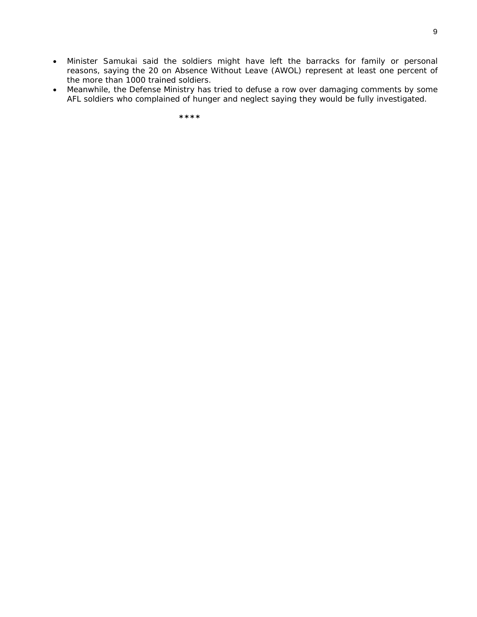- Minister Samukai said the soldiers might have left the barracks for family or personal reasons, saying the 20 on Absence Without Leave (AWOL) represent at least one percent of the more than 1000 trained soldiers.
- Meanwhile, the Defense Ministry has tried to defuse a row over damaging comments by some AFL soldiers who complained of hunger and neglect saying they would be fully investigated.

 **\*\*\*\***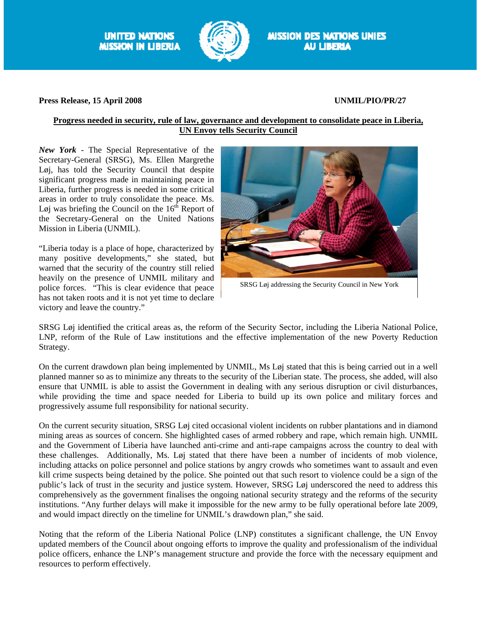**UNITED NATIONS MISSION IN LIBERIA** 



#### **Press Release, 15 April 2008 UNMIL/PIO/PR/27**

#### **Progress needed in security, rule of law, governance and development to consolidate peace in Liberia, UN Envoy tells Security Council**

*New York* - The Special Representative of the Secretary-General (SRSG), Ms. Ellen Margrethe Løj, has told the Security Council that despite significant progress made in maintaining peace in Liberia, further progress is needed in some critical areas in order to truly consolidate the peace. Ms. Løj was briefing the Council on the  $16<sup>th</sup>$  Report of the Secretary-General on the United Nations Mission in Liberia (UNMIL).

"Liberia today is a place of hope, characterized by many positive developments," she stated, but warned that the security of the country still relied heavily on the presence of UNMIL military and police forces. "This is clear evidence that peace has not taken roots and it is not yet time to declare victory and leave the country."



SRSG Løj addressing the Security Council in New York

SRSG Løj identified the critical areas as, the reform of the Security Sector, including the Liberia National Police, LNP, reform of the Rule of Law institutions and the effective implementation of the new Poverty Reduction Strategy.

On the current drawdown plan being implemented by UNMIL, Ms Løj stated that this is being carried out in a well planned manner so as to minimize any threats to the security of the Liberian state. The process, she added, will also ensure that UNMIL is able to assist the Government in dealing with any serious disruption or civil disturbances, while providing the time and space needed for Liberia to build up its own police and military forces and progressively assume full responsibility for national security.

On the current security situation, SRSG Løj cited occasional violent incidents on rubber plantations and in diamond mining areas as sources of concern. She highlighted cases of armed robbery and rape, which remain high. UNMIL and the Government of Liberia have launched anti-crime and anti-rape campaigns across the country to deal with these challenges. Additionally, Ms. Løj stated that there have been a number of incidents of mob violence, including attacks on police personnel and police stations by angry crowds who sometimes want to assault and even kill crime suspects being detained by the police. She pointed out that such resort to violence could be a sign of the public's lack of trust in the security and justice system. However, SRSG Løj underscored the need to address this comprehensively as the government finalises the ongoing national security strategy and the reforms of the security institutions. "Any further delays will make it impossible for the new army to be fully operational before late 2009, and would impact directly on the timeline for UNMIL's drawdown plan," she said.

Noting that the reform of the Liberia National Police (LNP) constitutes a significant challenge, the UN Envoy updated members of the Council about ongoing efforts to improve the quality and professionalism of the individual police officers, enhance the LNP's management structure and provide the force with the necessary equipment and resources to perform effectively.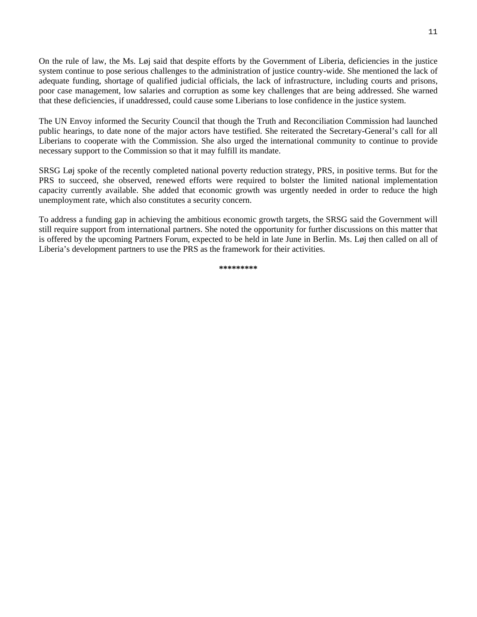On the rule of law, the Ms. Løj said that despite efforts by the Government of Liberia, deficiencies in the justice system continue to pose serious challenges to the administration of justice country-wide. She mentioned the lack of adequate funding, shortage of qualified judicial officials, the lack of infrastructure, including courts and prisons, poor case management, low salaries and corruption as some key challenges that are being addressed. She warned that these deficiencies, if unaddressed, could cause some Liberians to lose confidence in the justice system.

The UN Envoy informed the Security Council that though the Truth and Reconciliation Commission had launched public hearings, to date none of the major actors have testified. She reiterated the Secretary-General's call for all Liberians to cooperate with the Commission. She also urged the international community to continue to provide necessary support to the Commission so that it may fulfill its mandate.

SRSG Løj spoke of the recently completed national poverty reduction strategy, PRS, in positive terms. But for the PRS to succeed, she observed, renewed efforts were required to bolster the limited national implementation capacity currently available. She added that economic growth was urgently needed in order to reduce the high unemployment rate, which also constitutes a security concern.

To address a funding gap in achieving the ambitious economic growth targets, the SRSG said the Government will still require support from international partners. She noted the opportunity for further discussions on this matter that is offered by the upcoming Partners Forum, expected to be held in late June in Berlin. Ms. Løj then called on all of Liberia's development partners to use the PRS as the framework for their activities.

**\*\*\*\*\*\*\*\*\***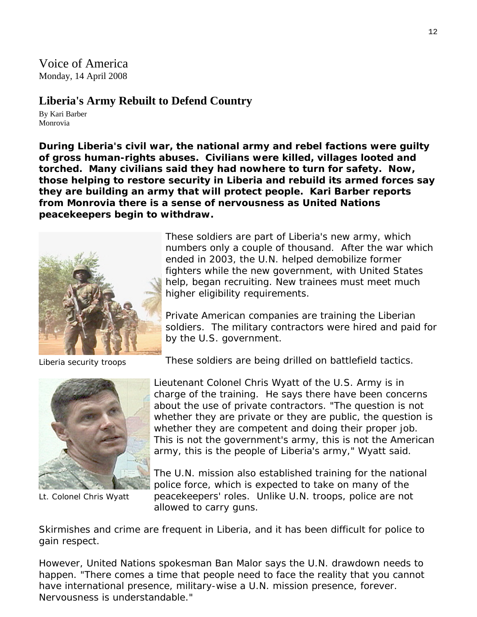Voice of America Monday, 14 April 2008

## **Liberia's Army Rebuilt to Defend Country**

By Kari Barber Monrovia

**During Liberia's civil war, the national army and rebel factions were guilty of gross human-rights abuses. Civilians were killed, villages looted and torched. Many civilians said they had nowhere to turn for safety. Now, those helping to restore security in Liberia and rebuild its armed forces say they are building an army that will protect people. Kari Barber reports from Monrovia there is a sense of nervousness as United Nations peacekeepers begin to withdraw.**



These soldiers are part of Liberia's new army, which numbers only a couple of thousand. After the war which ended in 2003, the U.N. helped demobilize former fighters while the new government, with United States help, began recruiting. New trainees must meet much higher eligibility requirements.

Private American companies are training the Liberian soldiers. The military contractors were hired and paid for by the U.S. government.

Liberia security troops



Lt. Colonel Chris Wyatt

These soldiers are being drilled on battlefield tactics.

Lieutenant Colonel Chris Wyatt of the U.S. Army is in charge of the training. He says there have been concerns about the use of private contractors. "The question is not whether they are private or they are public, the question is whether they are competent and doing their proper job. This is not the government's army, this is not the American army, this is the people of Liberia's army," Wyatt said.

The U.N. mission also established training for the national police force, which is expected to take on many of the peacekeepers' roles. Unlike U.N. troops, police are not allowed to carry guns.

Skirmishes and crime are frequent in Liberia, and it has been difficult for police to gain respect.

However, United Nations spokesman Ban Malor says the U.N. drawdown needs to happen. "There comes a time that people need to face the reality that you cannot have international presence, military-wise a U.N. mission presence, forever. Nervousness is understandable."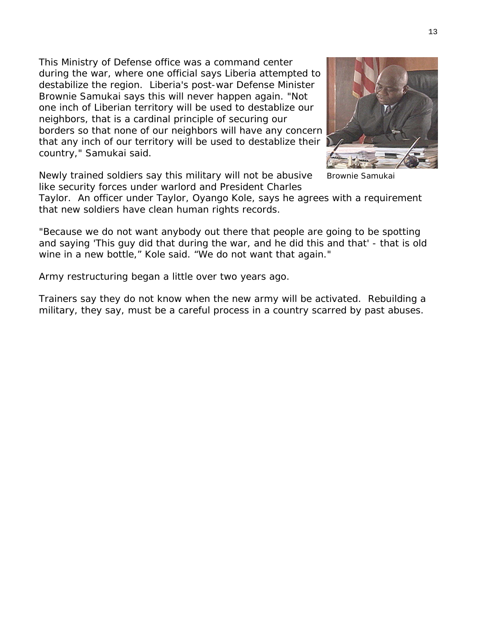This Ministry of Defense office was a command center during the war, where one official says Liberia attempted to destabilize the region. Liberia's post-war Defense Minister Brownie Samukai says this will never happen again. "Not one inch of Liberian territory will be used to destablize our neighbors, that is a cardinal principle of securing our borders so that none of our neighbors will have any c oncern that any inch of our territory will be used to destabliz e their country," Samukai said.

Newly trained soldiers say this military will not be abusive like security forces under warlord and President Charles

Taylor. An officer under Taylor, Oyango Kole, says he agrees with a requirement that new soldiers have clean human rights records.

"Because we do not want anybody out there that people are going to be spotting and saying 'This guy did that during the war, and he did this and that' - that is old wine in a new bottle," Kole said. "We do not want that again."

Army restructuring began a little over two years ago.

Trainers say they do not know when the new army will be activated. Rebuilding a military, they say, must be a careful process in a country scarred by past abuses.

Brownie Samukai